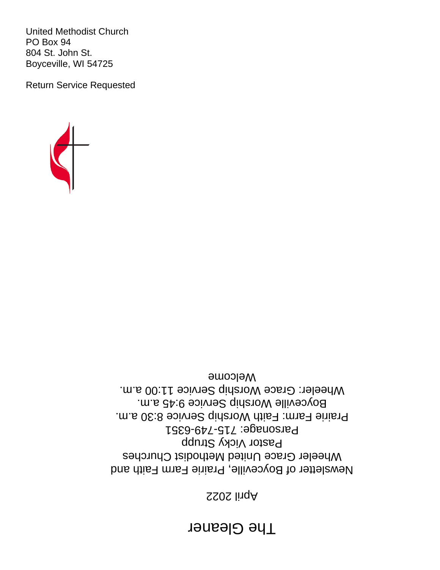# **The Gleaner**

# SS0S lingA

Newsletter of Boyceville, Prairie Farm Faith and Wheeler Grace United Methodist Churches Pastor Vicky Strupp Parsonage: 715-749-6351 Prairie Farm: Faith Worship Service 8:30 a.m. Boyceville Worship Service 9:45 a.m. Wheeler: Grace Worship Service 11:00 a.m. Welcome



United Methodist Church PO Box 94 804 St. John St. Boyceville, WI 54725

Return Service Requested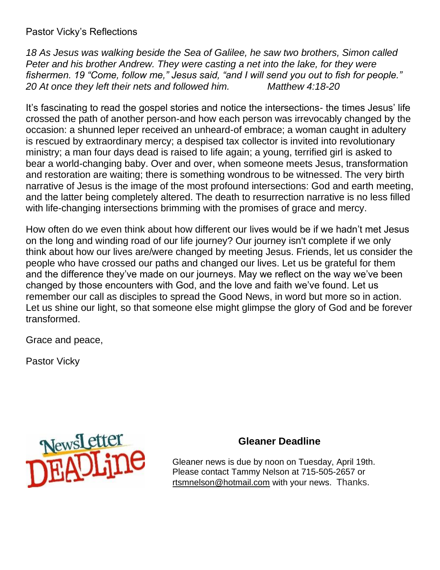Pastor Vicky's Reflections

*18 As Jesus was walking beside the Sea of Galilee, he saw two brothers, Simon called Peter and his brother Andrew. They were casting a net into the lake, for they were fishermen. 19 "Come, follow me," Jesus said, "and I will send you out to fish for people." 20 At once they left their nets and followed him. Matthew 4:18-20*

It's fascinating to read the gospel stories and notice the intersections- the times Jesus' life crossed the path of another person-and how each person was irrevocably changed by the occasion: a shunned leper received an unheard-of embrace; a woman caught in adultery is rescued by extraordinary mercy; a despised tax collector is invited into revolutionary ministry; a man four days dead is raised to life again; a young, terrified girl is asked to bear a world-changing baby. Over and over, when someone meets Jesus, transformation and restoration are waiting; there is something wondrous to be witnessed. The very birth narrative of Jesus is the image of the most profound intersections: God and earth meeting, and the latter being completely altered. The death to resurrection narrative is no less filled with life-changing intersections brimming with the promises of grace and mercy.

How often do we even think about how different our lives would be if we hadn't met Jesus on the long and winding road of our life journey? Our journey isn't complete if we only think about how our lives are/were changed by meeting Jesus. Friends, let us consider the people who have crossed our paths and changed our lives. Let us be grateful for them and the difference they've made on our journeys. May we reflect on the way we've been changed by those encounters with God, and the love and faith we've found. Let us remember our call as disciples to spread the Good News, in word but more so in action. Let us shine our light, so that someone else might glimpse the glory of God and be forever transformed.

Grace and peace,

Pastor Vicky



#### **Gleaner Deadline**

Gleaner news is due by noon on Tuesday, April 19th. Please contact Tammy Nelson at 715-505-2657 or [rtsmnelson@hotmail.com](mailto:rtsmnelson@hotmail.com) with your news. Thanks.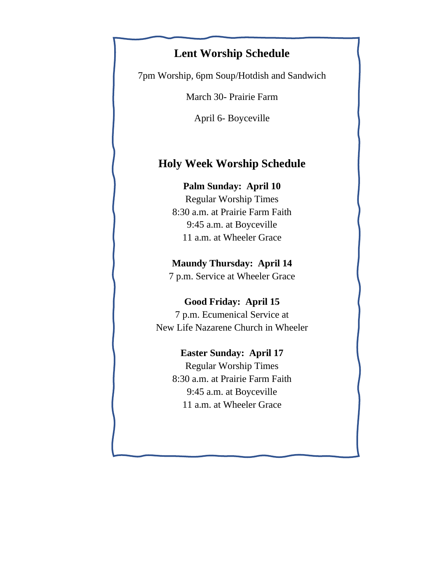## **Lent Worship Schedule**

7pm Worship, 6pm Soup/Hotdish and Sandwich

March 30- Prairie Farm

April 6- Boyceville

### **Holy Week Worship Schedule**

#### **Palm Sunday: April 10**

Regular Worship Times 8:30 a.m. at Prairie Farm Faith 9:45 a.m. at Boyceville 11 a.m. at Wheeler Grace

#### **Maundy Thursday: April 14**

7 p.m. Service at Wheeler Grace

#### **Good Friday: April 15**

7 p.m. Ecumenical Service at New Life Nazarene Church in Wheeler

#### **Easter Sunday: April 17**

Regular Worship Times 8:30 a.m. at Prairie Farm Faith 9:45 a.m. at Boyceville 11 a.m. at Wheeler Grace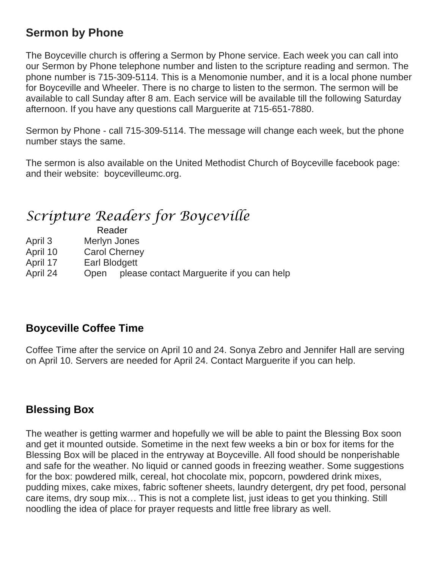# **Sermon by Phone**

The Boyceville church is offering a Sermon by Phone service. Each week you can call into our Sermon by Phone telephone number and listen to the scripture reading and sermon. The phone number is 715-309-5114. This is a Menomonie number, and it is a local phone number for Boyceville and Wheeler. There is no charge to listen to the sermon. The sermon will be available to call Sunday after 8 am. Each service will be available till the following Saturday afternoon. If you have any questions call Marguerite at 715-651-7880.

Sermon by Phone - call 715-309-5114. The message will change each week, but the phone number stays the same.

The sermon is also available on the United Methodist Church of Boyceville facebook page: and their website: boycevilleumc.org.

# *Scripture Readers for Boyceville*

|          | Reader               |  |
|----------|----------------------|--|
| April 3  | Merlyn Jones         |  |
| April 10 | <b>Carol Cherney</b> |  |

- April 17 Earl Blodgett
- April 24 Open please contact Marguerite if you can help

## **Boyceville Coffee Time**

Coffee Time after the service on April 10 and 24. Sonya Zebro and Jennifer Hall are serving on April 10. Servers are needed for April 24. Contact Marguerite if you can help.

### **Blessing Box**

The weather is getting warmer and hopefully we will be able to paint the Blessing Box soon and get it mounted outside. Sometime in the next few weeks a bin or box for items for the Blessing Box will be placed in the entryway at Boyceville. All food should be nonperishable and safe for the weather. No liquid or canned goods in freezing weather. Some suggestions for the box: powdered milk, cereal, hot chocolate mix, popcorn, powdered drink mixes, pudding mixes, cake mixes, fabric softener sheets, laundry detergent, dry pet food, personal care items, dry soup mix… This is not a complete list, just ideas to get you thinking. Still noodling the idea of place for prayer requests and little free library as well.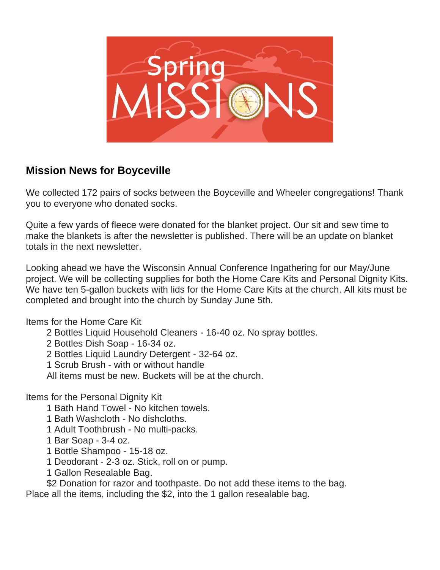

## **Mission News for Boyceville**

We collected 172 pairs of socks between the Boyceville and Wheeler congregations! Thank you to everyone who donated socks.

Quite a few yards of fleece were donated for the blanket project. Our sit and sew time to make the blankets is after the newsletter is published. There will be an update on blanket totals in the next newsletter.

Looking ahead we have the Wisconsin Annual Conference Ingathering for our May/June project. We will be collecting supplies for both the Home Care Kits and Personal Dignity Kits. We have ten 5-gallon buckets with lids for the Home Care Kits at the church. All kits must be completed and brought into the church by Sunday June 5th.

Items for the Home Care Kit

2 Bottles Liquid Household Cleaners - 16-40 oz. No spray bottles.

2 Bottles Dish Soap - 16-34 oz.

2 Bottles Liquid Laundry Detergent - 32-64 oz.

1 Scrub Brush - with or without handle

All items must be new. Buckets will be at the church.

Items for the Personal Dignity Kit

1 Bath Hand Towel - No kitchen towels.

1 Bath Washcloth - No dishcloths.

1 Adult Toothbrush - No multi-packs.

1 Bar Soap - 3-4 oz.

1 Bottle Shampoo - 15-18 oz.

1 Deodorant - 2-3 oz. Stick, roll on or pump.

1 Gallon Resealable Bag.

\$2 Donation for razor and toothpaste. Do not add these items to the bag. Place all the items, including the \$2, into the 1 gallon resealable bag.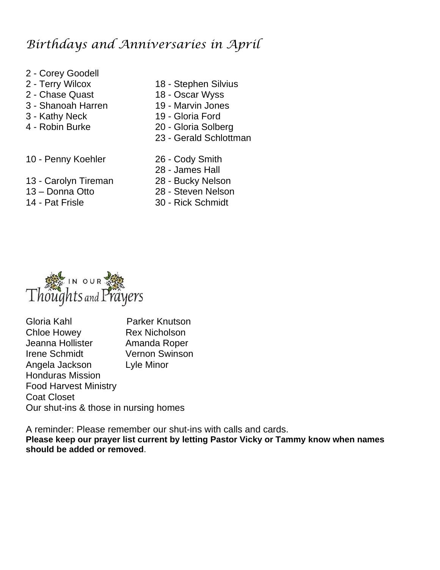# *Birthdays and Anniversaries in April*

- 2 Corey Goodell
- 
- 2 Chase Quast 18 Oscar Wyss
- 3 Shanoah Harren 19 Marvin Jones
- 
- 
- 2 Terry Wilcox 18 Stephen Silvius
	-
	-
- 3 Kathy Neck 19 Gloria Ford
- 4 Robin Burke 20 Gloria Solberg
	- 23 Gerald Schlottman
- 10 Penny Koehler 26 Cody Smith
	-
- 13 Carolyn Tireman 28 Bucky Nelson
- 
- 
- 28 James Hall
- 
- 13 Donna Otto 28 Steven Nelson
- 14 Pat Frisle 30 Rick Schmidt



Gloria Kahl Parker Knutson Chloe Howey Rex Nicholson Jeanna Hollister Amanda Roper Irene Schmidt Vernon Swinson Angela Jackson Lyle Minor Honduras Mission Food Harvest Ministry Coat Closet Our shut-ins & those in nursing homes

A reminder: Please remember our shut-ins with calls and cards. **Please keep our prayer list current by letting Pastor Vicky or Tammy know when names should be added or removed**.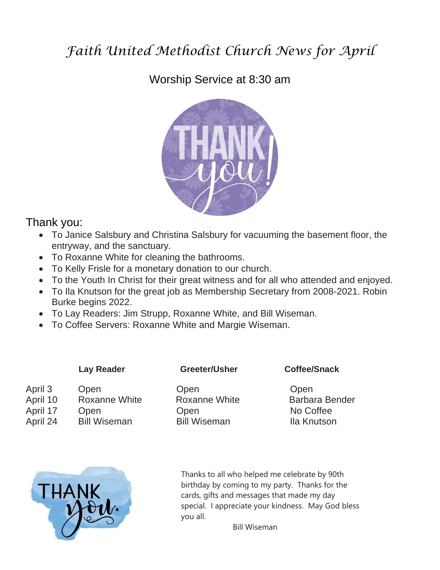# *Faith United Methodist Church News for April*

# Worship Service at 8:30 am



### Thank you:

- To Janice Salsbury and Christina Salsbury for vacuuming the basement floor, the entryway, and the sanctuary.
- To Roxanne White for cleaning the bathrooms.
- To Kelly Frisle for a monetary donation to our church.
- To the Youth In Christ for their great witness and for all who attended and enjoyed.
- To Ila Knutson for the great job as Membership Secretary from 2008-2021. Robin Burke begins 2022.
- To Lay Readers: Jim Strupp, Roxanne White, and Bill Wiseman.
- To Coffee Servers: Roxanne White and Margie Wiseman.

April 3 Open Open Open Open Open April 17 Open Open Open No Coffee April 24 Bill Wiseman Bill Wiseman Ila Knutson

 **Lay Reader Greeter/Usher Coffee/Snack**

April 10 Roxanne White Roxanne White Barbara Bender



Thanks to all who helped me celebrate by 90th birthday by coming to my party. Thanks for the cards, gifts and messages that made my day special. I appreciate your kindness. May God bless you all.

Bill Wiseman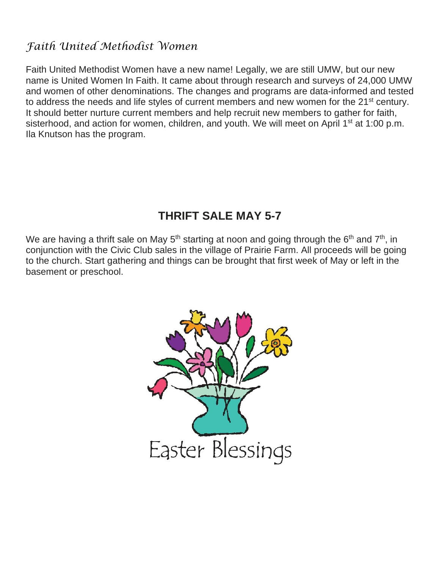## *Faith United Methodist Women*

Faith United Methodist Women have a new name! Legally, we are still UMW, but our new name is United Women In Faith. It came about through research and surveys of 24,000 UMW and women of other denominations. The changes and programs are data-informed and tested to address the needs and life styles of current members and new women for the 21<sup>st</sup> century. It should better nurture current members and help recruit new members to gather for faith, sisterhood, and action for women, children, and youth. We will meet on April 1<sup>st</sup> at 1:00 p.m. Ila Knutson has the program.

# **THRIFT SALE MAY 5-7**

We are having a thrift sale on May 5<sup>th</sup> starting at noon and going through the 6<sup>th</sup> and 7<sup>th</sup>, in conjunction with the Civic Club sales in the village of Prairie Farm. All proceeds will be going to the church. Start gathering and things can be brought that first week of May or left in the basement or preschool.